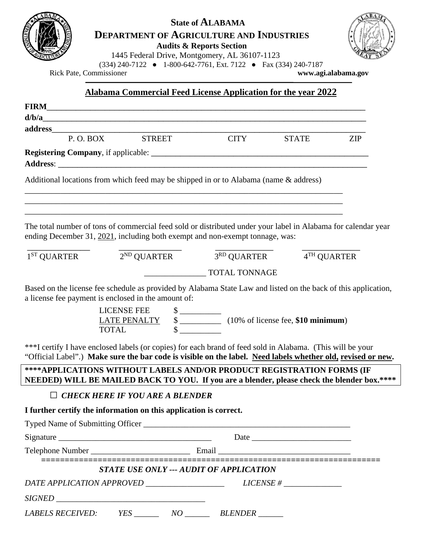

# **State of ALABAMA**

**DEPARTMENT OF AGRICULTURE AND INDUSTRIES**

**Audits & Reports Section**

1445 Federal Drive, Montgomery, AL 36107-1123



(334) 240-7122 ● 1-800-642-7761, Ext. 7122 ● Fax (334) 240-7187<br>missioner www.agi.alabama.gov

Rick Pate, Commissioner **[www.agi.alabama.](http://www.agi.alabama/)gov**

**Alabama Commercial Feed License Application for the year 2022**

| address                                                                                                                                                                                                                                                                                                   |                                                                         |                                                                         |              |            |
|-----------------------------------------------------------------------------------------------------------------------------------------------------------------------------------------------------------------------------------------------------------------------------------------------------------|-------------------------------------------------------------------------|-------------------------------------------------------------------------|--------------|------------|
| P.O. BOX                                                                                                                                                                                                                                                                                                  | <b>STREET</b>                                                           | <b>CITY</b>                                                             | <b>STATE</b> | <b>ZIP</b> |
|                                                                                                                                                                                                                                                                                                           |                                                                         |                                                                         |              |            |
| Additional locations from which feed may be shipped in or to Alabama (name & address)                                                                                                                                                                                                                     |                                                                         |                                                                         |              |            |
| The total number of tons of commercial feed sold or distributed under your label in Alabama for calendar year<br>ending December 31, 2021, including both exempt and non-exempt tonnage, was:                                                                                                             |                                                                         |                                                                         |              |            |
| $1^{ST}$ QUARTER                                                                                                                                                                                                                                                                                          |                                                                         | $\overline{2^{ND} \text{ QUARTER}}$ $\overline{3^{RD} \text{ QUARTER}}$ | 4TH QUARTER  |            |
|                                                                                                                                                                                                                                                                                                           |                                                                         | <b>TOTAL TONNAGE</b>                                                    |              |            |
| a license fee payment is enclosed in the amount of:<br>***I certify I have enclosed labels (or copies) for each brand of feed sold in Alabama. (This will be your<br>"Official Label".) Make sure the bar code is visible on the label. Need labels whether old, revised or new.                          | <b>LICENSE FEE</b>                                                      |                                                                         |              |            |
| **** APPLICATIONS WITHOUT LABELS AND/OR PRODUCT REGISTRATION FORMS (IF<br>NEEDED) WILL BE MAILED BACK TO YOU. If you are a blender, please check the blender box.****                                                                                                                                     |                                                                         |                                                                         |              |            |
|                                                                                                                                                                                                                                                                                                           | $\Box$ CHECK HERE IF YOU ARE A BLENDER                                  |                                                                         |              |            |
| I further certify the information on this application is correct.                                                                                                                                                                                                                                         |                                                                         |                                                                         |              |            |
|                                                                                                                                                                                                                                                                                                           |                                                                         |                                                                         |              |            |
| $Sigma$ = $\frac{1}{2}$ = $\frac{1}{2}$ = $\frac{1}{2}$ = $\frac{1}{2}$ = $\frac{1}{2}$ = $\frac{1}{2}$ = $\frac{1}{2}$ = $\frac{1}{2}$ = $\frac{1}{2}$ = $\frac{1}{2}$ = $\frac{1}{2}$ = $\frac{1}{2}$ = $\frac{1}{2}$ = $\frac{1}{2}$ = $\frac{1}{2}$ = $\frac{1}{2}$ = $\frac{1}{2}$ = $\frac{1}{2}$ = |                                                                         |                                                                         |              |            |
|                                                                                                                                                                                                                                                                                                           |                                                                         |                                                                         |              |            |
|                                                                                                                                                                                                                                                                                                           | _____________________<br><b>STATE USE ONLY --- AUDIT OF APPLICATION</b> |                                                                         |              |            |
|                                                                                                                                                                                                                                                                                                           |                                                                         |                                                                         |              |            |
|                                                                                                                                                                                                                                                                                                           |                                                                         |                                                                         |              |            |
| <b>LABELS RECEIVED:</b>                                                                                                                                                                                                                                                                                   |                                                                         | BLENDER ______                                                          |              |            |